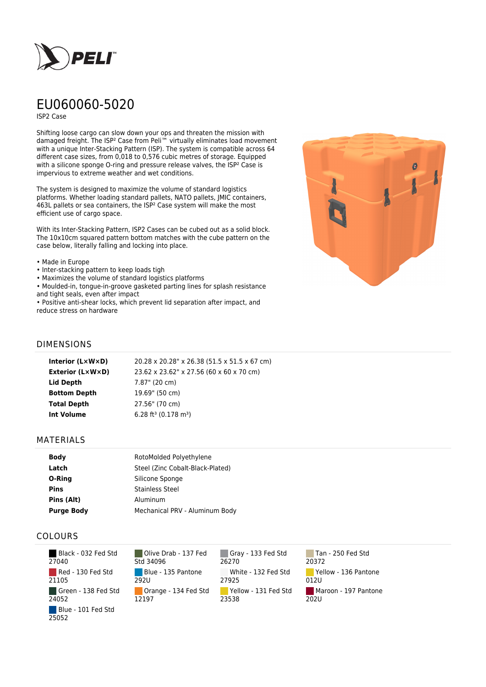

# EU060060-5020

ISP2 Case

Shifting loose cargo can slow down your ops and threaten the mission with damaged freight. The ISP² Case from Peli™ virtually eliminates load movement with a unique Inter-Stacking Pattern (ISP). The system is compatible across 64 different case sizes, from 0,018 to 0,576 cubic metres of storage. Equipped with a silicone sponge O-ring and pressure release valves, the ISP<sup>2</sup> Case is impervious to extreme weather and wet conditions.

The system is designed to maximize the volume of standard logistics platforms. Whether loading standard pallets, NATO pallets, JMIC containers, 463L pallets or sea containers, the ISP² Case system will make the most efficient use of cargo space.

With its Inter-Stacking Pattern, ISP2 Cases can be cubed out as a solid block. The 10x10cm squared pattern bottom matches with the cube pattern on the case below, literally falling and locking into place.

- Made in Europe
- Inter-stacking pattern to keep loads tigh
- Maximizes the volume of standard logistics platforms
- Moulded-in, tongue-in-groove gasketed parting lines for splash resistance and tight seals, even after impact

• Positive anti-shear locks, which prevent lid separation after impact, and reduce stress on hardware



#### DIMENSIONS

| 20.28 x 20.28" x 26.38 (51.5 x 51.5 x 67 cm)<br>Interior (LxWxD)    |  |
|---------------------------------------------------------------------|--|
| <b>Exterior (L×W×D)</b><br>23.62 x 23.62" x 27.56 (60 x 60 x 70 cm) |  |
| Lid Depth<br>7.87" (20 cm)                                          |  |
| <b>Bottom Depth</b><br>19.69" (50 cm)                               |  |
| 27.56" (70 cm)<br><b>Total Depth</b>                                |  |
| 6.28 ft <sup>3</sup> (0.178 m <sup>3</sup> )<br><b>Int Volume</b>   |  |

#### MATERIALS

| <b>Body</b>       | RotoMolded Polyethylene          |
|-------------------|----------------------------------|
| Latch             | Steel (Zinc Cobalt-Black-Plated) |
| O-Ring            | Silicone Sponge                  |
| <b>Pins</b>       | <b>Stainless Steel</b>           |
| Pins (Alt)        | Aluminum                         |
| <b>Purge Body</b> | Mechanical PRV - Aluminum Body   |

### COLOURS

 Black - 032 Fed Std 27040 Red - 130 Fed Std 21105 Green - 138 Fed Std 24052 Blue - 101 Fed Std 25052

Olive Drab - 137 Fed Std 34096 Blue - 135 Pantone 292U Orange - 134 Fed Std 12197

Gray - 133 Fed Std 26270 White - 132 Fed Std 27925 Yellow - 131 Fed Std 23538

Tan - 250 Fed Std 20372 Yellow - 136 Pantone 012U Maroon - 197 Pantone  $202U$